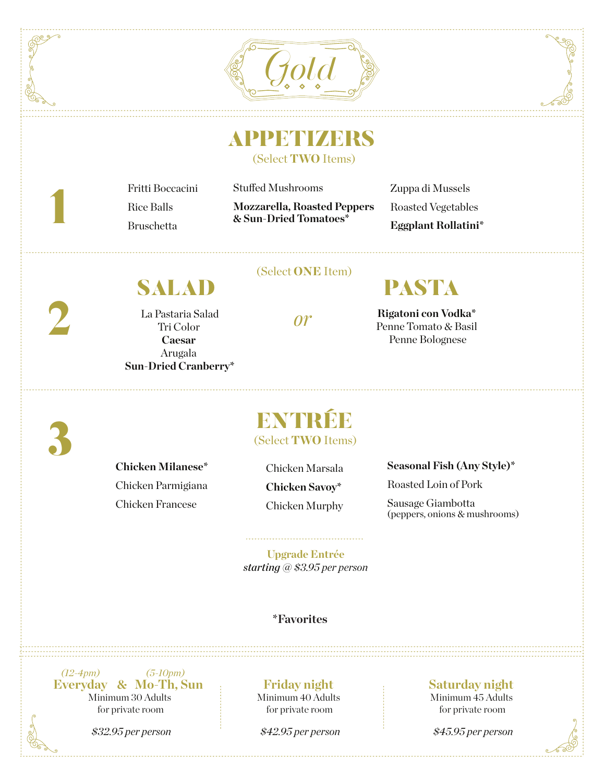



## **APPETIZERS**

Stuffed Mushrooms

(Select TWO Items)

Fritti Boccacini Rice Balls Bruschetta

**Mozzarella, Roasted Peppers & Sun-Dried Tomatoes\***

Zuppa di Mussels Roasted Vegetables **Eggplant Rollatini\***

SALAD

La Pastaria Salad Tri Color **Caesar**  Arugala **Sun-Dried Cranberry\***

### (Select ONE Item)

# PASTA

**Rigatoni con Vodka\***  Penne Tomato & Basil Penne Bolognese

3

1

2

### **Chicken Milanese\***  Chicken Parmigiana Chicken Francese

ENTRÉE (Select TWO Items)

Chicken Marsala **Chicken Savoy\***  Chicken Murphy **Seasonal Fish (Any Style)\***

Roasted Loin of Pork

Sausage Giambotta (peppers, onions & mushrooms)

**Upgrade Entrée**  *starting @ \$3.95 per person* 

### **\*Favorites**

Minimum 30 Adults for private room *(12-4pm) (5-10pm)* **Everyday & Mo-Th, Sun**



*\$32.95 per person*

#### **Friday night**  Minimum 40 Adults

for private room

#### *\$42.95 per person*

### **Saturday night**

Minimum 45 Adults for private room

*\$45.95 per person*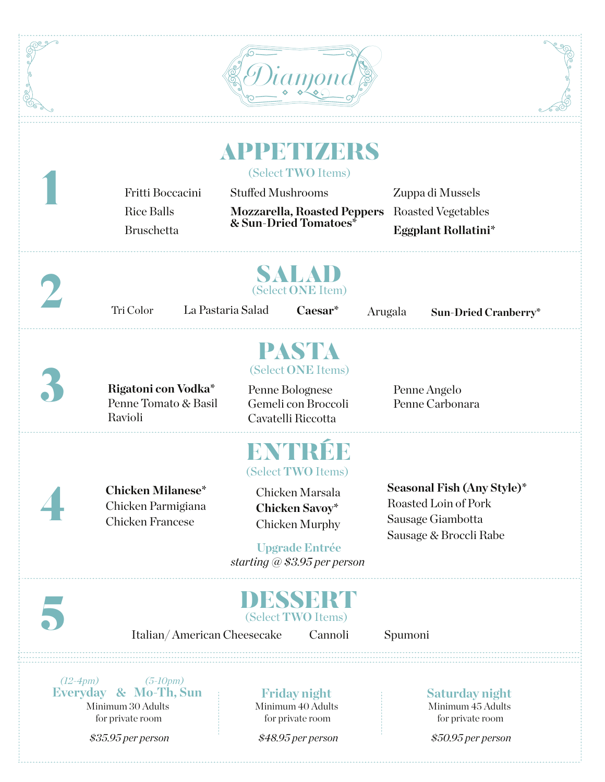|            | Fritti Boccacini<br><b>Rice Balls</b><br><b>Bruschetta</b>                                  | <b>APPMMZARS</b><br>(Select TWO Items)<br><b>Stuffed Mushrooms</b><br><b>Mozzarella, Roasted Peppers</b><br>& Sun-Dried Tomatoes*                  | Zuppa di Mussels<br><b>Roasted Vegetables</b><br><b>Eggplant Rollatini*</b>                       |
|------------|---------------------------------------------------------------------------------------------|----------------------------------------------------------------------------------------------------------------------------------------------------|---------------------------------------------------------------------------------------------------|
|            | Tri Color                                                                                   | SALAD<br>(Select ONE Item)<br>La Pastaria Salad<br>Caesar*                                                                                         | Arugala<br><b>Sun-Dried Cranberry*</b>                                                            |
|            | Rigatoni con Vodka*<br>Penne Tomato & Basil<br>Ravioli                                      | PASTA<br>(Select ONE Items)<br>Penne Bolognese<br>Gemeli con Broccoli<br>Cavatelli Riccotta                                                        | Penne Angelo<br>Penne Carbonara                                                                   |
|            | <b>Chicken Milanese*</b><br>Chicken Parmigiana<br><b>Chicken Francese</b>                   | (Select TWO Items)<br>Chicken Marsala<br><b>Chicken Savoy*</b><br><b>Chicken Murphy</b><br><b>Upgrade Entrée</b><br>starting $@$ \$3.95 per person | Seasonal Fish (Any Style)*<br>Roasted Loin of Pork<br>Sausage Giambotta<br>Sausage & Broccli Rabe |
|            | Italian/American Cheesecake                                                                 | DESSERT<br>(Select TWO Items)<br>Cannoli                                                                                                           | Spumoni                                                                                           |
| $(12-4pm)$ | $(5\text{-}10 \text{pm})$<br>Everyday & Mo-Th, Sun<br>Minimum 30 Adults<br>for private room | <b>Friday night</b><br>Minimum 40 Adults<br>for private room                                                                                       | <b>Saturday night</b><br>Minimum 45 Adults<br>for private room                                    |

*\$35.95 per person*

*\$48.95 per person*

*\$50.95 per person*